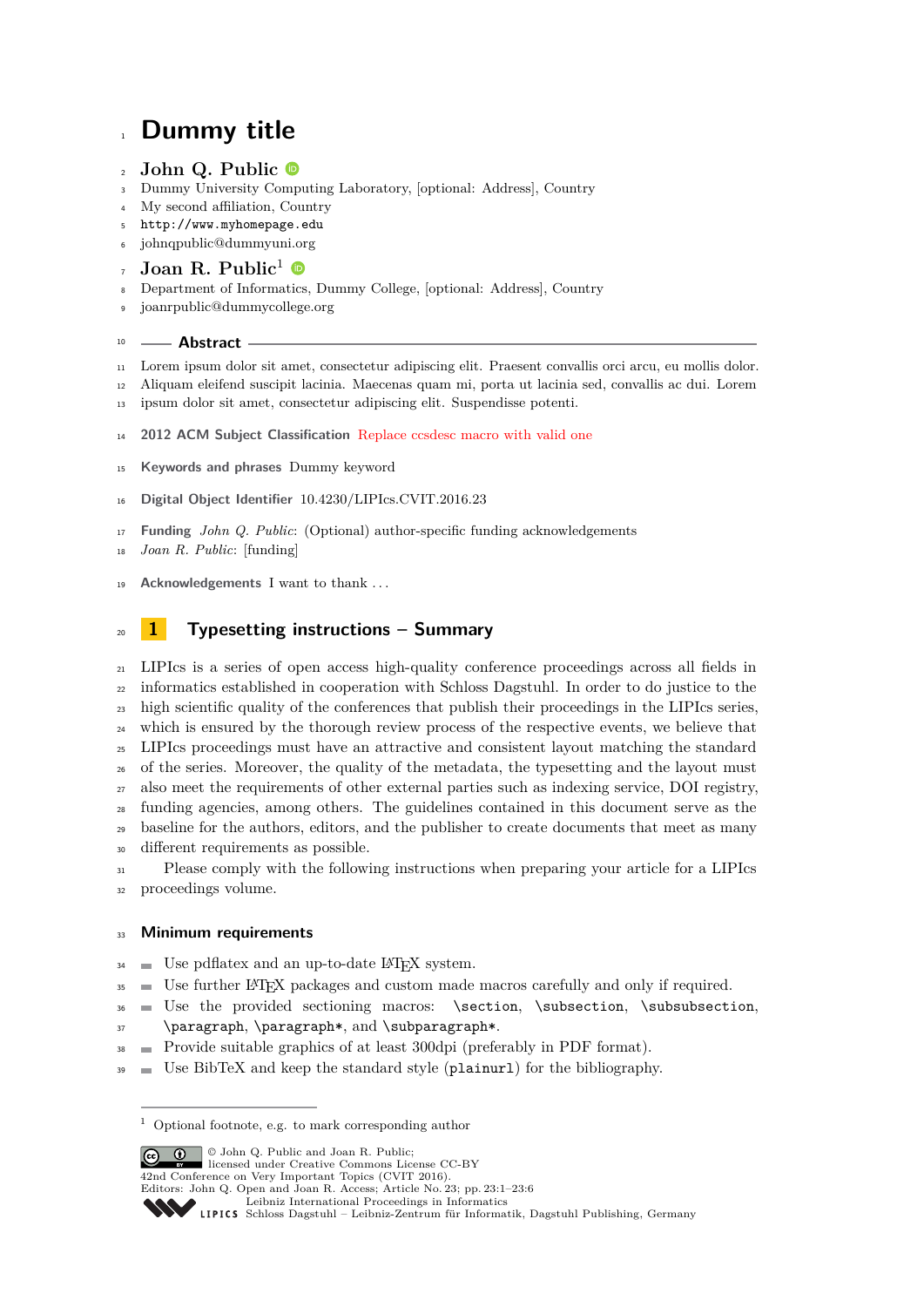# **Dummy title**

## **John Q. Public**

- Dummy University Computing Laboratory, [optional: Address], Country
- My second affiliation, Country
- <http://www.myhomepage.edu>
- [johnqpublic@dummyuni.org](mailto:johnqpublic@dummyuni.org)
- Joan R. Public<sup>1</sup>
- Department of Informatics, Dummy College, [optional: Address], Country
- [joanrpublic@dummycollege.org](mailto:joanrpublic@dummycollege.org)

#### **Abstract**

- Lorem ipsum dolor sit amet, consectetur adipiscing elit. Praesent convallis orci arcu, eu mollis dolor.
- Aliquam eleifend suscipit lacinia. Maecenas quam mi, porta ut lacinia sed, convallis ac dui. Lorem
- ipsum dolor sit amet, consectetur adipiscing elit. Suspendisse potenti.
- **2012 ACM Subject Classification** Replace ccsdesc macro with valid one
- **Keywords and phrases** Dummy keyword
- **Digital Object Identifier** [10.4230/LIPIcs.CVIT.2016.23](https://doi.org/10.4230/LIPIcs.CVIT.2016.23)
- **Funding** *John Q. Public*: (Optional) author-specific funding acknowledgements
- *Joan R. Public*: [funding]
- **Acknowledgements** I want to thank . . .

# **1 Typesetting instructions – Summary**

 LIPIcs is a series of open access high-quality conference proceedings across all fields in informatics established in cooperation with Schloss Dagstuhl. In order to do justice to the <sup>23</sup> high scientific quality of the conferences that publish their proceedings in the LIPIcs series, which is ensured by the thorough review process of the respective events, we believe that LIPIcs proceedings must have an attractive and consistent layout matching the standard of the series. Moreover, the quality of the metadata, the typesetting and the layout must also meet the requirements of other external parties such as indexing service, DOI registry, funding agencies, among others. The guidelines contained in this document serve as the <sup>29</sup> baseline for the authors, editors, and the publisher to create documents that meet as many different requirements as possible. Please comply with the following instructions when preparing your article for a LIPIcs

proceedings volume.

#### **Minimum requirements**

- Use pdflatex and an up-to-date L<sup>AT</sup>EX system.
- Use further LATEX packages and custom made macros carefully and only if required.
- $36 \equiv$  Use the provided sectioning macros: \section, \subsection, \subsubsection,
- \paragraph, \paragraph\*, and \subparagraph\*.
- Provide suitable graphics of at least 300dpi (preferably in PDF format).
- $\mathcal{I}$ <sup>39</sup> Use BibTeX and keep the standard style (plainurl) for the bibliography.

**c i**  $\Theta$  John Q. Public and Joan R. Public: licensed under Creative Commons License CC-BY 42nd Conference on Very Important Topics (CVIT 2016). Editors: John Q. Open and Joan R. Access; Article No. 23; pp. 23:1–23[:6](#page-5-0) [Leibniz International Proceedings in Informatics](https://www.dagstuhl.de/lipics/) [Schloss Dagstuhl – Leibniz-Zentrum für Informatik, Dagstuhl Publishing, Germany](https://www.dagstuhl.de)

Optional footnote, e.g. to mark corresponding author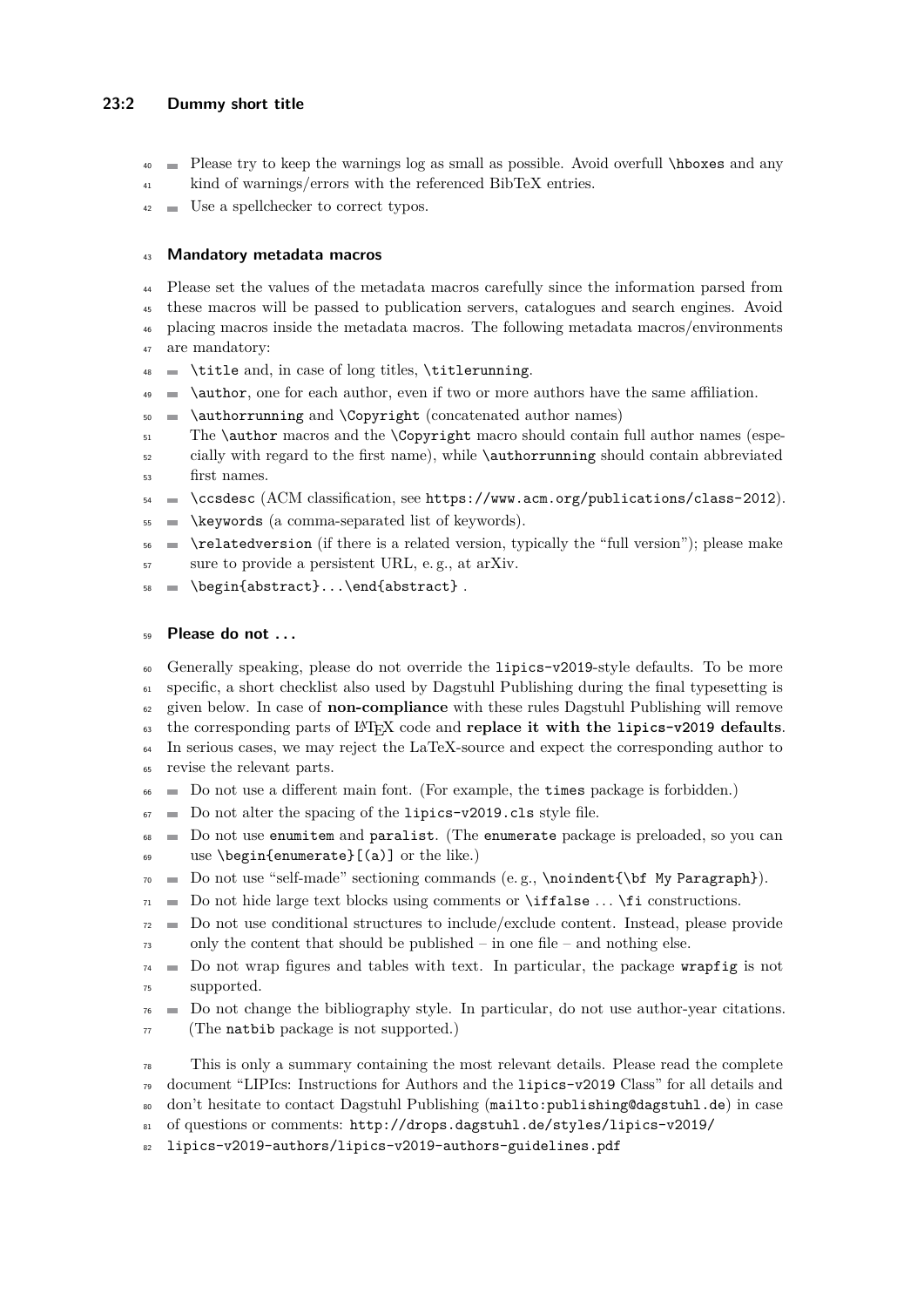#### **23:2 Dummy short title**

- Please try to keep the warnings log as small as possible. Avoid overfull \hboxes and any
- <sup>41</sup> kind of warnings/errors with the referenced BibTeX entries.
- Use a spellchecker to correct typos.

## **Mandatory metadata macros**

 Please set the values of the metadata macros carefully since the information parsed from these macros will be passed to publication servers, catalogues and search engines. Avoid placing macros inside the metadata macros. The following metadata macros/environments are mandatory:

- \title and, in case of long titles, \titlerunning.
- $\downarrow$   $\bullet$   $\bullet$   $\bullet$   $\bullet$   $\bullet$  for each author, even if two or more authors have the same affiliation.
- 50  $\Box$  \authorrunning and \Copyright (concatenated author names)
- $_{51}$  The **\author** macros and the **\Copyright** macro should contain full author names (espe-
- cially with regard to the first name), while \authorrunning should contain abbreviated first names.
- $\leq$  \ccsdesc (ACM classification, see <https://www.acm.org/publications/class-2012>).
- $55 \in \text{keywords}$  (a comma-separated list of keywords).
- $\leftarrow$  \relatedversion (if there is a related version, typically the "full version"); please make sure to provide a persistent URL, e. g., at arXiv.
- \begin{abstract}...\end{abstract} .

## **Please do not . . .**

 Generally speaking, please do not override the lipics-v2019-style defaults. To be more specific, a short checklist also used by Dagstuhl Publishing during the final typesetting is given below. In case of **non-compliance** with these rules Dagstuhl Publishing will remove

the corresponding parts of LATEX code and **replace it with the lipics-v2019 defaults**.

- In serious cases, we may reject the LaTeX-source and expect the corresponding author to
- revise the relevant parts.
- Do not use a different main font. (For example, the times package is forbidden.)
- $\sigma$  Do not alter the spacing of the lipics-v2019.cls style file.
- Do not use enumitem and paralist. (The enumerate package is preloaded, so you can use \begin{enumerate}[(a)] or the like.)
- $70 \equiv$  Do not use "self-made" sectioning commands (e.g., \noindent{\bf My Paragraph}).
- $71 \equiv$  Do not hide large text blocks using comments or **\iffalse**  $\ldots$  \fi constructions.
- $72 \equiv$  Do not use conditional structures to include/exclude content. Instead, please provide only the content that should be published – in one file – and nothing else.
- $74 \equiv$  Do not wrap figures and tables with text. In particular, the package wrapfig is not supported.
- $\tau_6$  Do not change the bibliography style. In particular, do not use author-year citations. (The natbib package is not supported.)

 This is only a summary containing the most relevant details. Please read the complete document "LIPIcs: Instructions for Authors and the lipics-v2019 Class" for all details and don't hesitate to contact Dagstuhl Publishing (<mailto:publishing@dagstuhl.de>) in case

- [o](http://drops.dagstuhl.de/styles/lipics-v2019/lipics-v2019-authors/lipics-v2019-authors-guidelines.pdf)f questions or comments: [http://drops.dagstuhl.de/styles/lipics-v2019/](http://drops.dagstuhl.de/styles/lipics-v2019/lipics-v2019-authors/lipics-v2019-authors-guidelines.pdf)
- [lipics-v2019-authors/lipics-v2019-authors-guidelines.pdf](http://drops.dagstuhl.de/styles/lipics-v2019/lipics-v2019-authors/lipics-v2019-authors-guidelines.pdf)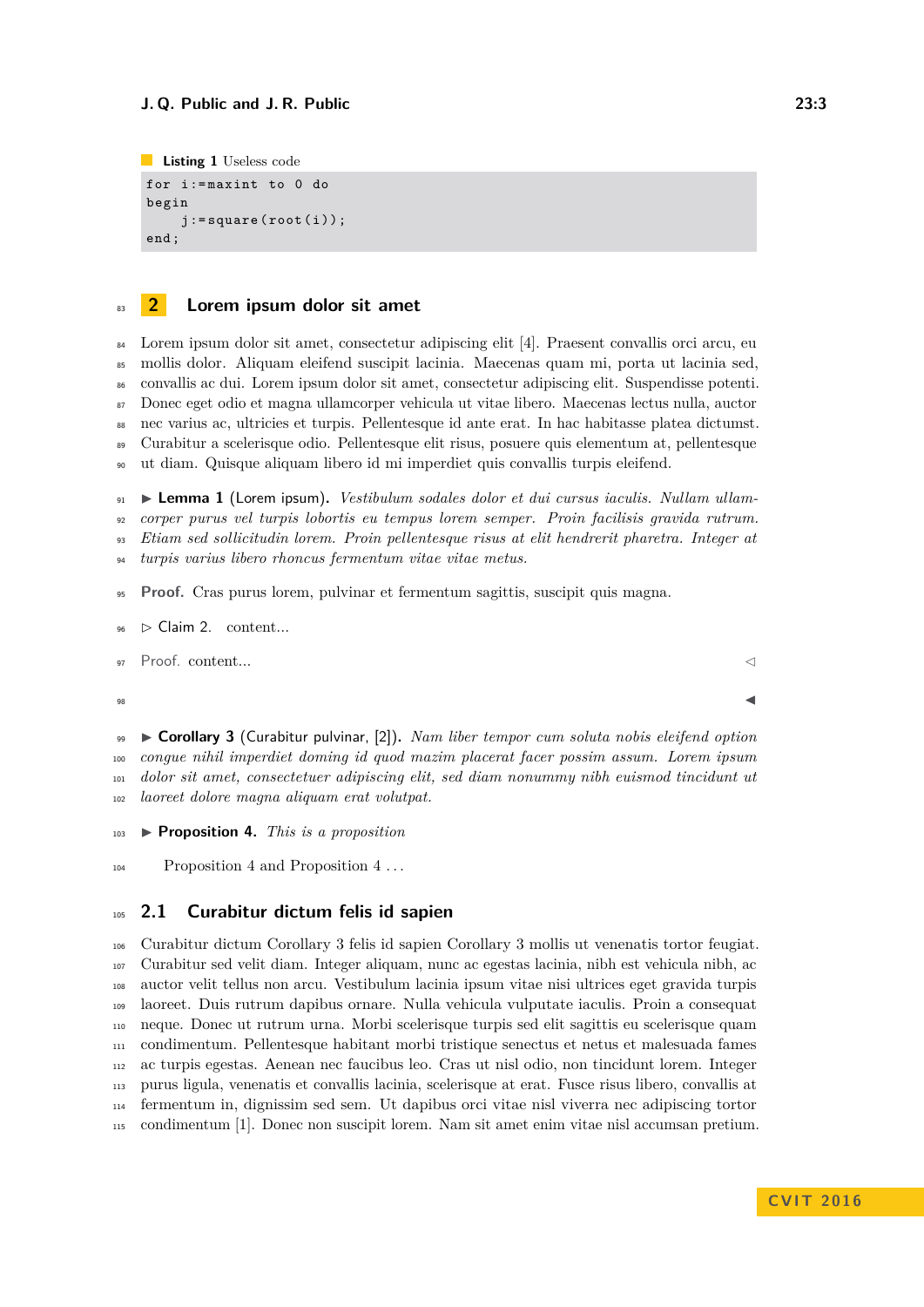```
Listing 1 Useless code
for i := maxint to 0 do
begin
     j := square(root(i));end ;
```
## **2 Lorem ipsum dolor sit amet**

 Lorem ipsum dolor sit amet, consectetur adipiscing elit [\[4\]](#page-4-0). Praesent convallis orci arcu, eu mollis dolor. Aliquam eleifend suscipit lacinia. Maecenas quam mi, porta ut lacinia sed, convallis ac dui. Lorem ipsum dolor sit amet, consectetur adipiscing elit. Suspendisse potenti. Donec eget odio et magna ullamcorper vehicula ut vitae libero. Maecenas lectus nulla, auctor nec varius ac, ultricies et turpis. Pellentesque id ante erat. In hac habitasse platea dictumst. Curabitur a scelerisque odio. Pellentesque elit risus, posuere quis elementum at, pellentesque ut diam. Quisque aliquam libero id mi imperdiet quis convallis turpis eleifend.

 I **Lemma 1** (Lorem ipsum)**.** *Vestibulum sodales dolor et dui cursus iaculis. Nullam ullam- corper purus vel turpis lobortis eu tempus lorem semper. Proin facilisis gravida rutrum. Etiam sed sollicitudin lorem. Proin pellentesque risus at elit hendrerit pharetra. Integer at turpis varius libero rhoncus fermentum vitae vitae metus.*

- **Proof.** Cras purus lorem, pulvinar et fermentum sagittis, suscipit quis magna.
- $96 \Rightarrow$  Claim 2. content...

 $\Box$ 97 Proof. content...  $\Box$ 

<span id="page-2-1"></span> I **Corollary 3** (Curabitur pulvinar, [\[2\]](#page-4-1))**.** *Nam liber tempor cum soluta nobis eleifend option congue nihil imperdiet doming id quod mazim placerat facer possim assum. Lorem ipsum dolor sit amet, consectetuer adipiscing elit, sed diam nonummy nibh euismod tincidunt ut laoreet dolore magna aliquam erat volutpat.*

<span id="page-2-0"></span>I **Proposition 4.** *This is a proposition*

[Proposition 4](#page-2-0) and Proposition [4](#page-2-0) . . .

#### **2.1 Curabitur dictum felis id sapien**

 Curabitur dictum Corollary [3](#page-2-1) felis id sapien [Corollary 3](#page-2-1) mollis ut venenatis tortor feugiat. Curabitur sed velit diam. Integer aliquam, nunc ac egestas lacinia, nibh est vehicula nibh, ac auctor velit tellus non arcu. Vestibulum lacinia ipsum vitae nisi ultrices eget gravida turpis laoreet. Duis rutrum dapibus ornare. Nulla vehicula vulputate iaculis. Proin a consequat neque. Donec ut rutrum urna. Morbi scelerisque turpis sed elit sagittis eu scelerisque quam condimentum. Pellentesque habitant morbi tristique senectus et netus et malesuada fames ac turpis egestas. Aenean nec faucibus leo. Cras ut nisl odio, non tincidunt lorem. Integer purus ligula, venenatis et convallis lacinia, scelerisque at erat. Fusce risus libero, convallis at fermentum in, dignissim sed sem. Ut dapibus orci vitae nisl viverra nec adipiscing tortor condimentum [\[1\]](#page-3-0). Donec non suscipit lorem. Nam sit amet enim vitae nisl accumsan pretium.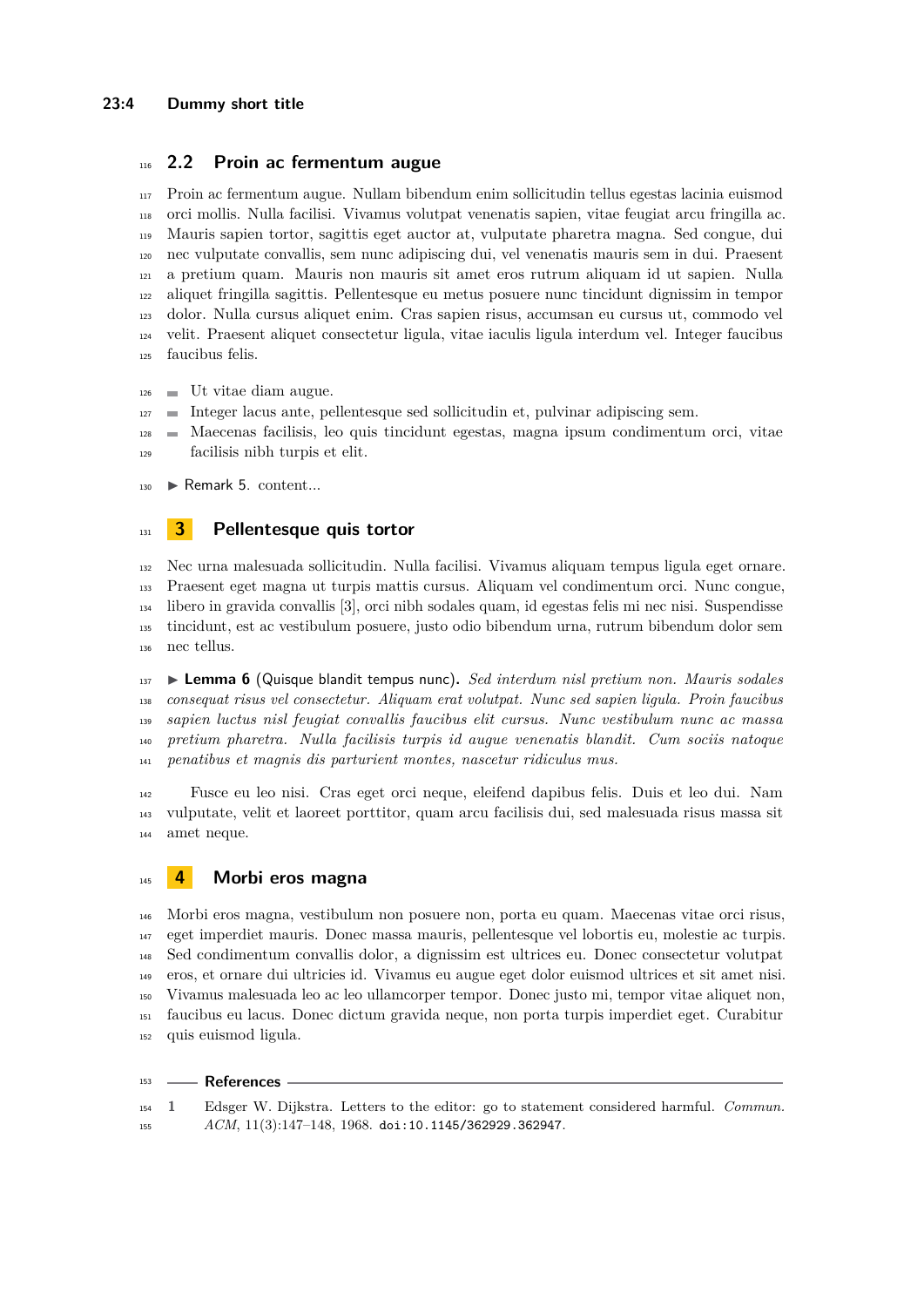## **2.2 Proin ac fermentum augue**

 Proin ac fermentum augue. Nullam bibendum enim sollicitudin tellus egestas lacinia euismod orci mollis. Nulla facilisi. Vivamus volutpat venenatis sapien, vitae feugiat arcu fringilla ac. Mauris sapien tortor, sagittis eget auctor at, vulputate pharetra magna. Sed congue, dui nec vulputate convallis, sem nunc adipiscing dui, vel venenatis mauris sem in dui. Praesent a pretium quam. Mauris non mauris sit amet eros rutrum aliquam id ut sapien. Nulla aliquet fringilla sagittis. Pellentesque eu metus posuere nunc tincidunt dignissim in tempor dolor. Nulla cursus aliquet enim. Cras sapien risus, accumsan eu cursus ut, commodo vel velit. Praesent aliquet consectetur ligula, vitae iaculis ligula interdum vel. Integer faucibus faucibus felis.

- $_{126}$   $\blacksquare$  Ut vitae diam augue.
- Integer lacus ante, pellentesque sed sollicitudin et, pulvinar adipiscing sem.
- Maecenas facilisis, leo quis tincidunt egestas, magna ipsum condimentum orci, vitae facilisis nibh turpis et elit.
- $_{130}$  Remark 5. content...

#### **3 Pellentesque quis tortor**

 Nec urna malesuada sollicitudin. Nulla facilisi. Vivamus aliquam tempus ligula eget ornare. Praesent eget magna ut turpis mattis cursus. Aliquam vel condimentum orci. Nunc congue, libero in gravida convallis [\[3\]](#page-4-2), orci nibh sodales quam, id egestas felis mi nec nisi. Suspendisse tincidunt, est ac vestibulum posuere, justo odio bibendum urna, rutrum bibendum dolor sem nec tellus.

 I **Lemma 6** (Quisque blandit tempus nunc)**.** *Sed interdum nisl pretium non. Mauris sodales consequat risus vel consectetur. Aliquam erat volutpat. Nunc sed sapien ligula. Proin faucibus sapien luctus nisl feugiat convallis faucibus elit cursus. Nunc vestibulum nunc ac massa pretium pharetra. Nulla facilisis turpis id augue venenatis blandit. Cum sociis natoque penatibus et magnis dis parturient montes, nascetur ridiculus mus.*

 Fusce eu leo nisi. Cras eget orci neque, eleifend dapibus felis. Duis et leo dui. Nam vulputate, velit et laoreet porttitor, quam arcu facilisis dui, sed malesuada risus massa sit amet neque.

#### **4 Morbi eros magna**

 Morbi eros magna, vestibulum non posuere non, porta eu quam. Maecenas vitae orci risus, eget imperdiet mauris. Donec massa mauris, pellentesque vel lobortis eu, molestie ac turpis. Sed condimentum convallis dolor, a dignissim est ultrices eu. Donec consectetur volutpat eros, et ornare dui ultricies id. Vivamus eu augue eget dolor euismod ultrices et sit amet nisi. Vivamus malesuada leo ac leo ullamcorper tempor. Donec justo mi, tempor vitae aliquet non, faucibus eu lacus. Donec dictum gravida neque, non porta turpis imperdiet eget. Curabitur quis euismod ligula.

#### **References**

<span id="page-3-0"></span> **1** Edsger W. Dijkstra. Letters to the editor: go to statement considered harmful. *Commun. ACM*, 11(3):147–148, 1968. [doi:10.1145/362929.362947](https://doi.org/10.1145/362929.362947).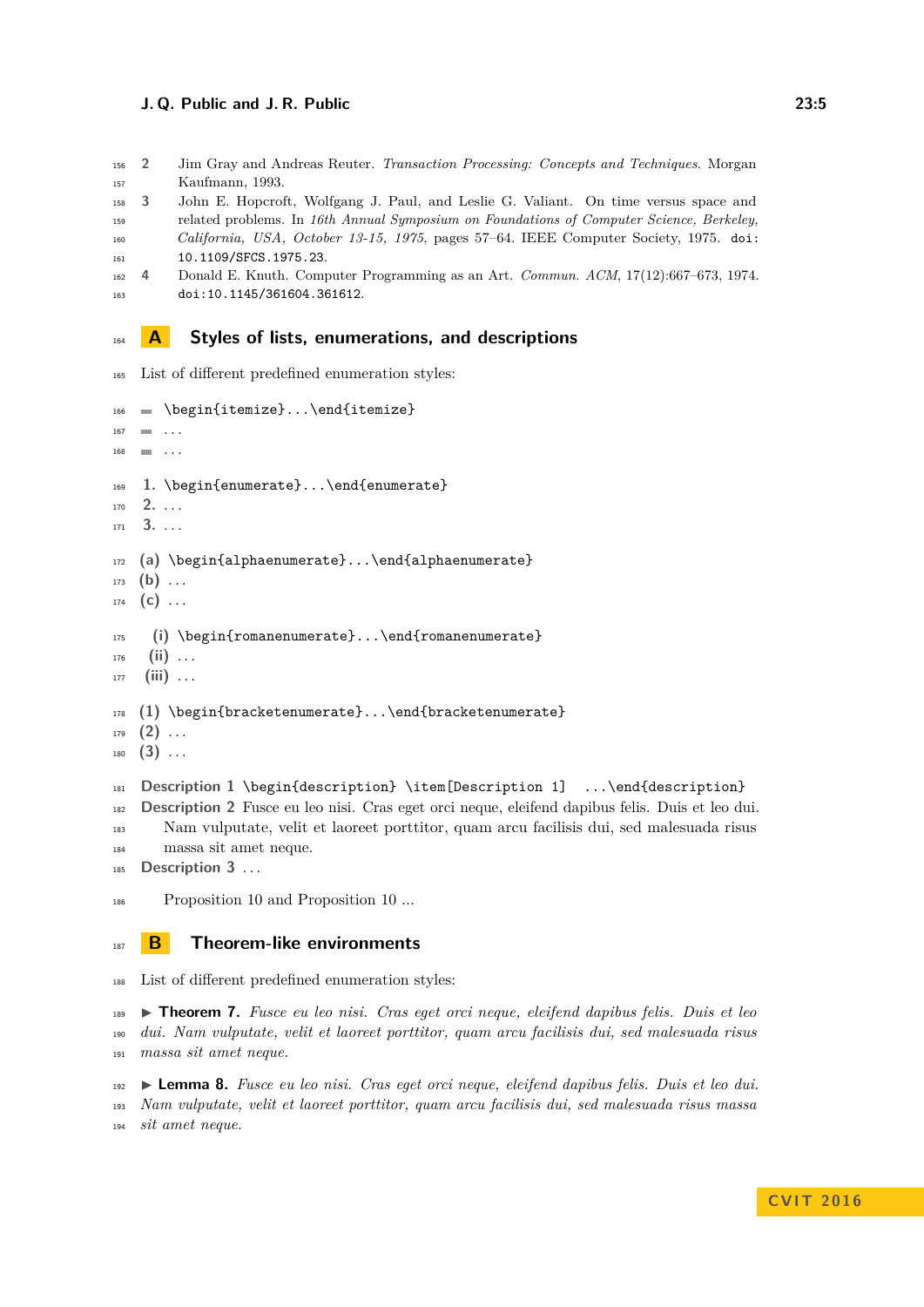#### **J. Q. Public and J. R. Public 23:5**

- <span id="page-4-1"></span> **2** Jim Gray and Andreas Reuter. *Transaction Processing: Concepts and Techniques*. Morgan Kaufmann, 1993.
- <span id="page-4-2"></span> **3** John E. Hopcroft, Wolfgang J. Paul, and Leslie G. Valiant. On time versus space and related problems. In *16th Annual Symposium on Foundations of Computer Science, Berkeley,*
- *California, USA, October 13-15, 1975*, pages 57–64. IEEE Computer Society, 1975. [doi:](https://doi.org/10.1109/SFCS.1975.23) [10.1109/SFCS.1975.23](https://doi.org/10.1109/SFCS.1975.23).
- <span id="page-4-0"></span> **4** Donald E. Knuth. Computer Programming as an Art. *Commun. ACM*, 17(12):667–673, 1974. [doi:10.1145/361604.361612](https://doi.org/10.1145/361604.361612).

#### **A Styles of lists, enumerations, and descriptions**

List of different predefined enumeration styles:

```
166 \begin{itemize}...\end{itemize}
167 \blacksquare ...
168 ...
169 1. \begin{enumerate}...\end{enumerate}
170 2. . . .
171 3. . . .
172 (a) \begin{alphaenumerate}...\end{alphaenumerate}
173 (b) ...
174 (c) . . .
175 (i) \begin{romanenumerate}...\end{romanenumerate}
176 (ii) . . .
177 (iii) . . .
178 (1) \begin{bracketenumerate}...\end{bracketenumerate}
179 (2) . . .
180 (3) . . .
181 Description 1 \begin{description} \item[Description 1] ...\end{description}
182 Description 2 Fusce eu leo nisi. Cras eget orci neque, eleifend dapibus felis. Duis et leo dui.
```
 Nam vulputate, velit et laoreet porttitor, quam arcu facilisis dui, sed malesuada risus massa sit amet neque.

**Description 3** ...

Proposition [10](#page-5-1) and [Proposition 10](#page-5-1) ...

#### **B Theorem-like environments**

List of different predefined enumeration styles:

 I **Theorem 7.** *Fusce eu leo nisi. Cras eget orci neque, eleifend dapibus felis. Duis et leo dui. Nam vulputate, velit et laoreet porttitor, quam arcu facilisis dui, sed malesuada risus massa sit amet neque.*

 I **Lemma 8.** *Fusce eu leo nisi. Cras eget orci neque, eleifend dapibus felis. Duis et leo dui. Nam vulputate, velit et laoreet porttitor, quam arcu facilisis dui, sed malesuada risus massa sit amet neque.*